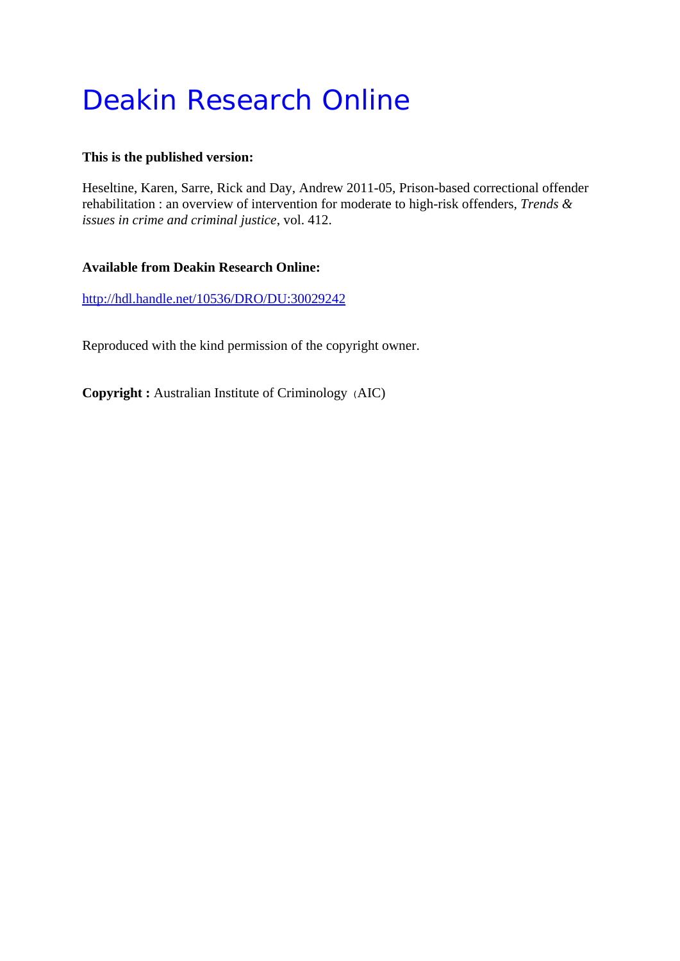# Deakin Research Online

### **This is the published version:**

Heseltine, Karen, Sarre, Rick and Day, Andrew 2011-05, Prison-based correctional offender rehabilitation : an overview of intervention for moderate to high-risk offenders*, Trends & issues in crime and criminal justice*, vol. 412.

# **Available from Deakin Research Online:**

http://hdl.handle.net/10536/DRO/DU:30029242

Reproduced with the kind permission of the copyright owner.

**Copyright :** Australian Institute of Criminology (AIC)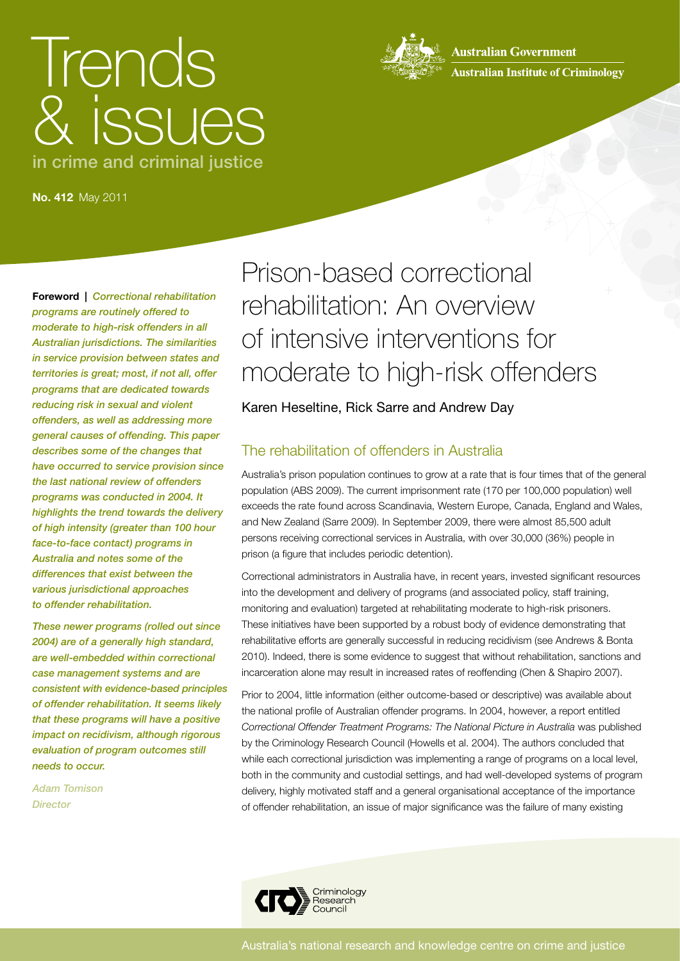# Trends & issues in crime and criminal justice



**Australian Government Australian Institute of Criminology** 

**No. 412** May 2011

**Foreword |** *Correctional rehabilitation programs are routinely offered to moderate to high-risk offenders in all Australian jurisdictions. The similarities in service provision between states and territories is great; most, if not all, offer programs that are dedicated towards reducing risk in sexual and violent offenders, as well as addressing more general causes of offending. This paper describes some of the changes that have occurred to service provision since the last national review of offenders programs was conducted in 2004. It highlights the trend towards the delivery of high intensity (greater than 100 hour face-to-face contact) programs in Australia and notes some of the differences that exist between the various jurisdictional approaches to offender rehabilitation.*

*These newer programs (rolled out since 2004) are of a generally high standard, are well-embedded within correctional case management systems and are consistent with evidence-based principles of offender rehabilitation. It seems likely that these programs will have a positive impact on recidivism, although rigorous evaluation of program outcomes still needs to occur.*

*Adam Tomison Director*

Prison-based correctional rehabilitation: An overview of intensive interventions for moderate to high-risk offenders

Karen Heseltine, Rick Sarre and Andrew Day

# The rehabilitation of offenders in Australia

Australia's prison population continues to grow at a rate that is four times that of the general population (ABS 2009). The current imprisonment rate (170 per 100,000 population) well exceeds the rate found across Scandinavia, Western Europe, Canada, England and Wales, and New Zealand (Sarre 2009). In September 2009, there were almost 85,500 adult persons receiving correctional services in Australia, with over 30,000 (36%) people in prison (a figure that includes periodic detention).

Correctional administrators in Australia have, in recent years, invested significant resources into the development and delivery of programs (and associated policy, staff training, monitoring and evaluation) targeted at rehabilitating moderate to high-risk prisoners. These initiatives have been supported by a robust body of evidence demonstrating that rehabilitative efforts are generally successful in reducing recidivism (see Andrews & Bonta 2010). Indeed, there is some evidence to suggest that without rehabilitation, sanctions and incarceration alone may result in increased rates of reoffending (Chen & Shapiro 2007).

Prior to 2004, little information (either outcome-based or descriptive) was available about the national profile of Australian offender programs. In 2004, however, a report entitled *Correctional Offender Treatment Programs: The National Picture in Australia* was published by the Criminology Research Council (Howells et al. 2004). The authors concluded that while each correctional jurisdiction was implementing a range of programs on a local level, both in the community and custodial settings, and had well-developed systems of program delivery, highly motivated staff and a general organisational acceptance of the importance of offender rehabilitation, an issue of major significance was the failure of many existing

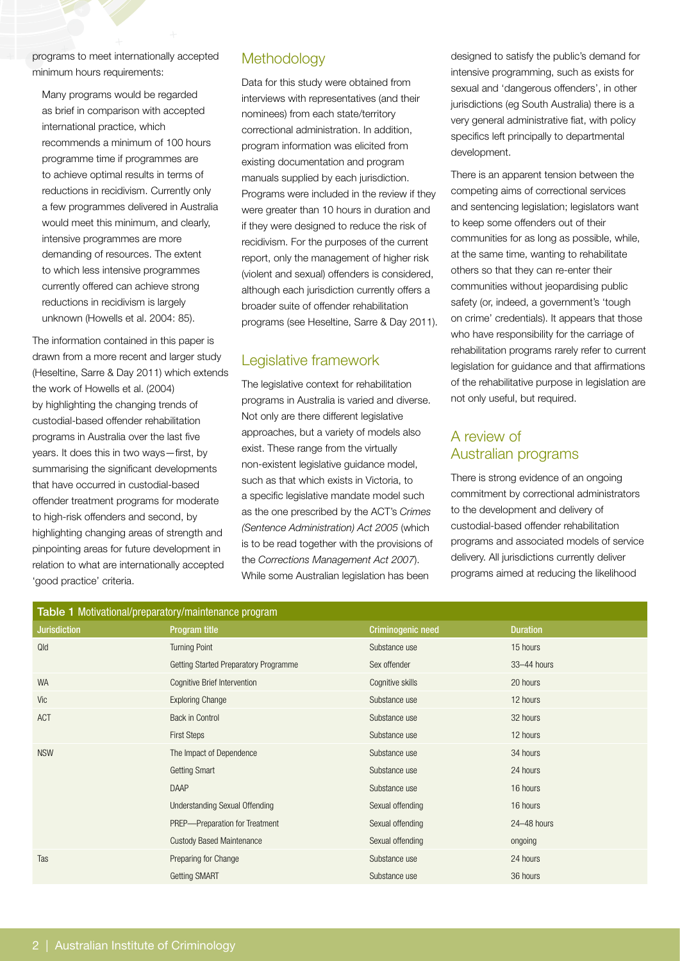programs to meet internationally accepted minimum hours requirements:

Many programs would be regarded as brief in comparison with accepted international practice, which recommends a minimum of 100 hours programme time if programmes are to achieve optimal results in terms of reductions in recidivism. Currently only a few programmes delivered in Australia would meet this minimum, and clearly, intensive programmes are more demanding of resources. The extent to which less intensive programmes currently offered can achieve strong reductions in recidivism is largely unknown (Howells et al. 2004: 85).

The information contained in this paper is drawn from a more recent and larger study (Heseltine, Sarre & Day 2011) which extends the work of Howells et al. (2004) by highlighting the changing trends of custodial-based offender rehabilitation programs in Australia over the last five years. It does this in two ways—first, by summarising the significant developments that have occurred in custodial-based offender treatment programs for moderate to high-risk offenders and second, by highlighting changing areas of strength and pinpointing areas for future development in relation to what are internationally accepted 'good practice' criteria.

# **Methodology**

Data for this study were obtained from interviews with representatives (and their nominees) from each state/territory correctional administration. In addition, program information was elicited from existing documentation and program manuals supplied by each jurisdiction. Programs were included in the review if they were greater than 10 hours in duration and if they were designed to reduce the risk of recidivism. For the purposes of the current report, only the management of higher risk (violent and sexual) offenders is considered, although each jurisdiction currently offers a broader suite of offender rehabilitation programs (see Heseltine, Sarre & Day 2011).

# Legislative framework

The legislative context for rehabilitation programs in Australia is varied and diverse. Not only are there different legislative approaches, but a variety of models also exist. These range from the virtually non-existent legislative guidance model, such as that which exists in Victoria, to a specific legislative mandate model such as the one prescribed by the ACT's *Crimes (Sentence Administration) Act 2005* (which is to be read together with the provisions of the *Corrections Management Act 2007*). While some Australian legislation has been

designed to satisfy the public's demand for intensive programming, such as exists for sexual and 'dangerous offenders', in other jurisdictions (eg South Australia) there is a very general administrative fiat, with policy specifics left principally to departmental development.

There is an apparent tension between the competing aims of correctional services and sentencing legislation; legislators want to keep some offenders out of their communities for as long as possible, while, at the same time, wanting to rehabilitate others so that they can re-enter their communities without jeopardising public safety (or, indeed, a government's 'tough on crime' credentials). It appears that those who have responsibility for the carriage of rehabilitation programs rarely refer to current legislation for guidance and that affirmations of the rehabilitative purpose in legislation are not only useful, but required.

# A review of Australian programs

There is strong evidence of an ongoing commitment by correctional administrators to the development and delivery of custodial-based offender rehabilitation programs and associated models of service delivery. All jurisdictions currently deliver programs aimed at reducing the likelihood

| Table 1 Motivational/preparatory/maintenance program |                                       |                   |                 |  |  |
|------------------------------------------------------|---------------------------------------|-------------------|-----------------|--|--|
| <b>Jurisdiction</b>                                  | Program title                         | Criminogenic need | <b>Duration</b> |  |  |
| Qld                                                  | <b>Turning Point</b>                  | Substance use     | 15 hours        |  |  |
|                                                      | Getting Started Preparatory Programme | Sex offender      | 33-44 hours     |  |  |
| <b>WA</b>                                            | Cognitive Brief Intervention          | Cognitive skills  | 20 hours        |  |  |
| Vic                                                  | <b>Exploring Change</b>               | Substance use     | 12 hours        |  |  |
| ACT                                                  | Back in Control                       | Substance use     | 32 hours        |  |  |
|                                                      | <b>First Steps</b>                    | Substance use     | 12 hours        |  |  |
| <b>NSW</b>                                           | The Impact of Dependence              | Substance use     | 34 hours        |  |  |
|                                                      | <b>Getting Smart</b>                  | Substance use     | 24 hours        |  |  |
|                                                      | <b>DAAP</b>                           | Substance use     | 16 hours        |  |  |
|                                                      | <b>Understanding Sexual Offending</b> | Sexual offending  | 16 hours        |  |  |
|                                                      | PREP-Preparation for Treatment        | Sexual offending  | 24-48 hours     |  |  |
|                                                      | <b>Custody Based Maintenance</b>      | Sexual offending  | ongoing         |  |  |
| Tas                                                  | Preparing for Change                  | Substance use     | 24 hours        |  |  |
|                                                      | <b>Getting SMART</b>                  | Substance use     | 36 hours        |  |  |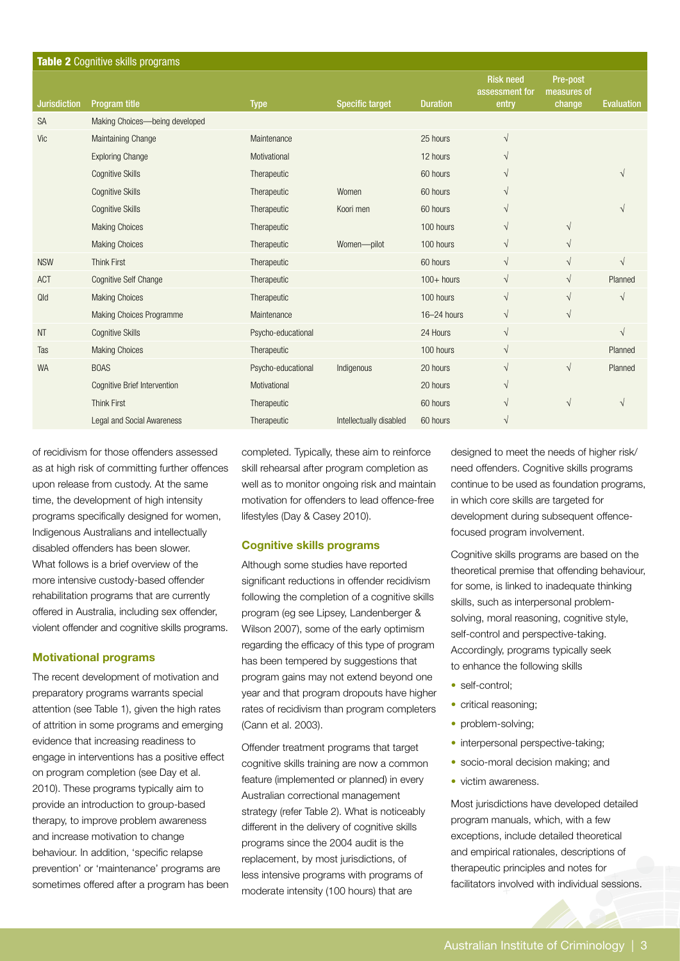| Table 2 Cognitive skills programs |                                     |                    |                         |                 |                                             |                                   |                   |  |
|-----------------------------------|-------------------------------------|--------------------|-------------------------|-----------------|---------------------------------------------|-----------------------------------|-------------------|--|
| <b>Jurisdiction</b>               | Program title                       | <b>Type</b>        | <b>Specific target</b>  | <b>Duration</b> | <b>Risk need</b><br>assessment for<br>entry | Pre-post<br>measures of<br>change | <b>Evaluation</b> |  |
| <b>SA</b>                         | Making Choices-being developed      |                    |                         |                 |                                             |                                   |                   |  |
| Vic                               | Maintaining Change                  | Maintenance        |                         | 25 hours        | $\sqrt{ }$                                  |                                   |                   |  |
|                                   | <b>Exploring Change</b>             | Motivational       |                         | 12 hours        | $\sqrt{ }$                                  |                                   |                   |  |
|                                   | <b>Cognitive Skills</b>             | Therapeutic        |                         | 60 hours        | $\sqrt{ }$                                  |                                   |                   |  |
|                                   | <b>Cognitive Skills</b>             | Therapeutic        | Women                   | 60 hours        | $\sqrt{ }$                                  |                                   |                   |  |
|                                   | <b>Cognitive Skills</b>             | Therapeutic        | Koori men               | 60 hours        | $\sqrt{ }$                                  |                                   |                   |  |
|                                   | <b>Making Choices</b>               | Therapeutic        |                         | 100 hours       | $\sqrt{ }$                                  | $\sqrt{}$                         |                   |  |
|                                   | <b>Making Choices</b>               | Therapeutic        | Women-pilot             | 100 hours       | $\sqrt{ }$                                  | $\sqrt{}$                         |                   |  |
| <b>NSW</b>                        | <b>Think First</b>                  | Therapeutic        |                         | 60 hours        | $\sqrt{ }$                                  | $\sqrt{}$                         | $\sqrt{}$         |  |
| ACT                               | <b>Cognitive Self Change</b>        | Therapeutic        |                         | $100+$ hours    | $\sqrt{ }$                                  | $\sqrt{}$                         | Planned           |  |
| Qld                               | <b>Making Choices</b>               | Therapeutic        |                         | 100 hours       | $\sqrt{ }$                                  | $\sqrt{}$                         | $\sqrt{ }$        |  |
|                                   | <b>Making Choices Programme</b>     | Maintenance        |                         | 16-24 hours     | $\sqrt{ }$                                  | $\sqrt{}$                         |                   |  |
| <b>NT</b>                         | <b>Cognitive Skills</b>             | Psycho-educational |                         | 24 Hours        | $\sqrt{ }$                                  |                                   | $\sqrt{}$         |  |
| Tas                               | <b>Making Choices</b>               | Therapeutic        |                         | 100 hours       | $\sqrt{ }$                                  |                                   | Planned           |  |
| <b>WA</b>                         | <b>BOAS</b>                         | Psycho-educational | Indigenous              | 20 hours        | $\sqrt{ }$                                  | $\sqrt{}$                         | Planned           |  |
|                                   | <b>Cognitive Brief Intervention</b> | Motivational       |                         | 20 hours        | $\sqrt{ }$                                  |                                   |                   |  |
|                                   | <b>Think First</b>                  | Therapeutic        |                         | 60 hours        | $\sqrt{ }$                                  | $\sqrt{}$                         | V                 |  |
|                                   | <b>Legal and Social Awareness</b>   | Therapeutic        | Intellectually disabled | 60 hours        | $\sqrt{ }$                                  |                                   |                   |  |

of recidivism for those offenders assessed as at high risk of committing further offences upon release from custody. At the same time, the development of high intensity programs specifically designed for women, Indigenous Australians and intellectually disabled offenders has been slower. What follows is a brief overview of the more intensive custody-based offender rehabilitation programs that are currently offered in Australia, including sex offender, violent offender and cognitive skills programs.

#### **Motivational programs**

The recent development of motivation and preparatory programs warrants special attention (see Table 1), given the high rates of attrition in some programs and emerging evidence that increasing readiness to engage in interventions has a positive effect on program completion (see Day et al. 2010). These programs typically aim to provide an introduction to group-based therapy, to improve problem awareness and increase motivation to change behaviour. In addition, 'specific relapse prevention' or 'maintenance' programs are sometimes offered after a program has been completed. Typically, these aim to reinforce skill rehearsal after program completion as well as to monitor ongoing risk and maintain motivation for offenders to lead offence-free lifestyles (Day & Casey 2010).

#### **Cognitive skills programs**

Although some studies have reported significant reductions in offender recidivism following the completion of a cognitive skills program (eg see Lipsey, Landenberger & Wilson 2007), some of the early optimism regarding the efficacy of this type of program has been tempered by suggestions that program gains may not extend beyond one year and that program dropouts have higher rates of recidivism than program completers (Cann et al. 2003).

Offender treatment programs that target cognitive skills training are now a common feature (implemented or planned) in every Australian correctional management strategy (refer Table 2). What is noticeably different in the delivery of cognitive skills programs since the 2004 audit is the replacement, by most jurisdictions, of less intensive programs with programs of moderate intensity (100 hours) that are

designed to meet the needs of higher risk/ need offenders. Cognitive skills programs continue to be used as foundation programs, in which core skills are targeted for development during subsequent offencefocused program involvement.

Cognitive skills programs are based on the theoretical premise that offending behaviour, for some, is linked to inadequate thinking skills, such as interpersonal problemsolving, moral reasoning, cognitive style, self-control and perspective-taking. Accordingly, programs typically seek to enhance the following skills

- self-control:
- critical reasoning;
- problem-solving;
- interpersonal perspective-taking;
- socio-moral decision making; and
- victim awareness.

Most jurisdictions have developed detailed program manuals, which, with a few exceptions, include detailed theoretical and empirical rationales, descriptions of therapeutic principles and notes for facilitators involved with individual sessions.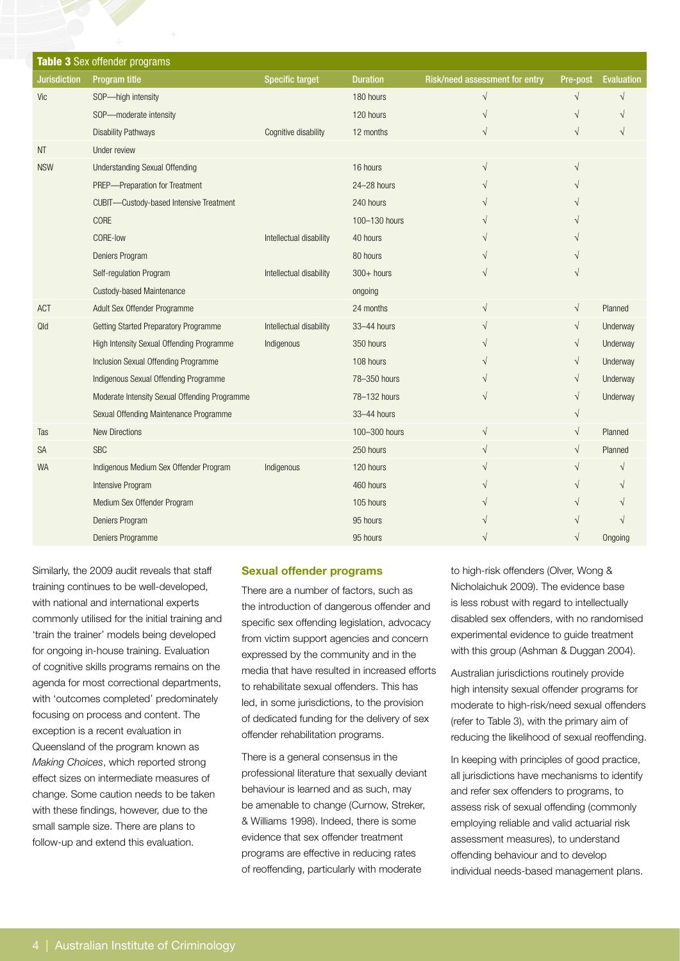| Table 3 Sex offender programs |                                               |                         |                 |                                |           |                   |  |
|-------------------------------|-----------------------------------------------|-------------------------|-----------------|--------------------------------|-----------|-------------------|--|
| <b>Jurisdiction</b>           | Program title                                 | <b>Specific target</b>  | <b>Duration</b> | Risk/need assessment for entry | Pre-post  | <b>Evaluation</b> |  |
| Vic                           | SOP-high intensity                            |                         | 180 hours       | $\sqrt{}$                      | $\sqrt{}$ | $\sqrt{}$         |  |
|                               | SOP-moderate intensity                        |                         | 120 hours       | V                              | V         |                   |  |
|                               | <b>Disability Pathways</b>                    | Cognitive disability    | 12 months       | $\sqrt{}$                      | N         |                   |  |
| <b>NT</b>                     | Under review                                  |                         |                 |                                |           |                   |  |
| <b>NSW</b>                    | <b>Understanding Sexual Offending</b>         |                         | 16 hours        | V                              |           |                   |  |
|                               | PREP-Preparation for Treatment                |                         | $24 - 28$ hours |                                |           |                   |  |
|                               | CUBIT-Custody-based Intensive Treatment       |                         | 240 hours       |                                |           |                   |  |
|                               | CORE                                          |                         | 100-130 hours   |                                |           |                   |  |
|                               | CORE-low                                      | Intellectual disability | 40 hours        |                                |           |                   |  |
|                               | Deniers Program                               |                         | 80 hours        |                                |           |                   |  |
|                               | Self-regulation Program                       | Intellectual disability | $300+$ hours    |                                |           |                   |  |
|                               | <b>Custody-based Maintenance</b>              |                         | ongoing         |                                |           |                   |  |
| ACT                           | Adult Sex Offender Programme                  |                         | 24 months       | $\sqrt{}$                      | $\sqrt{}$ | Planned           |  |
| Qld                           | Getting Started Preparatory Programme         | Intellectual disability | 33-44 hours     | V                              | $\sqrt{}$ | Underway          |  |
|                               | High Intensity Sexual Offending Programme     | Indigenous              | 350 hours       |                                | √         | Underway          |  |
|                               | Inclusion Sexual Offending Programme          |                         | 108 hours       |                                | $\sqrt{}$ | Underway          |  |
|                               | Indigenous Sexual Offending Programme         |                         | 78-350 hours    |                                | V         | Underway          |  |
|                               | Moderate Intensity Sexual Offending Programme |                         | 78-132 hours    |                                | V         | Underway          |  |
|                               | Sexual Offending Maintenance Programme        |                         | 33-44 hours     |                                | $\sqrt{}$ |                   |  |
| Tas                           | <b>New Directions</b>                         |                         | 100-300 hours   | $\sqrt{}$                      | $\sqrt{}$ | Planned           |  |
| <b>SA</b>                     | <b>SBC</b>                                    |                         | 250 hours       | $\sqrt{}$                      | $\sqrt{}$ | Planned           |  |
| <b>WA</b>                     | Indigenous Medium Sex Offender Program        | Indigenous              | 120 hours       | V                              | $\sqrt{}$ |                   |  |
|                               | Intensive Program                             |                         | 460 hours       |                                |           |                   |  |
|                               | Medium Sex Offender Program                   |                         | 105 hours       |                                |           |                   |  |
|                               | Deniers Program                               |                         | 95 hours        |                                |           |                   |  |
|                               | Deniers Programme                             |                         | 95 hours        |                                | V         | Ongoing           |  |

Similarly, the 2009 audit reveals that staff training continues to be well-developed, with national and international experts commonly utilised for the initial training and 'train the trainer' models being developed for ongoing in-house training. Evaluation of cognitive skills programs remains on the agenda for most correctional departments, with 'outcomes completed' predominately focusing on process and content. The exception is a recent evaluation in Queensland of the program known as *Making Choices*, which reported strong effect sizes on intermediate measures of change. Some caution needs to be taken with these findings, however, due to the small sample size. There are plans to follow-up and extend this evaluation.

#### **Sexual offender programs**

There are a number of factors, such as the introduction of dangerous offender and specific sex offending legislation, advocacy from victim support agencies and concern expressed by the community and in the media that have resulted in increased efforts to rehabilitate sexual offenders. This has led, in some jurisdictions, to the provision of dedicated funding for the delivery of sex offender rehabilitation programs.

There is a general consensus in the professional literature that sexually deviant behaviour is learned and as such, may be amenable to change (Curnow, Streker, & Williams 1998). Indeed, there is some evidence that sex offender treatment programs are effective in reducing rates of reoffending, particularly with moderate

to high-risk offenders (Olver, Wong & Nicholaichuk 2009). The evidence base is less robust with regard to intellectually disabled sex offenders, with no randomised experimental evidence to guide treatment with this group (Ashman & Duggan 2004).

Australian jurisdictions routinely provide high intensity sexual offender programs for moderate to high-risk/need sexual offenders (refer to Table 3), with the primary aim of reducing the likelihood of sexual reoffending.

In keeping with principles of good practice, all jurisdictions have mechanisms to identify and refer sex offenders to programs, to assess risk of sexual offending (commonly employing reliable and valid actuarial risk assessment measures), to understand offending behaviour and to develop individual needs-based management plans.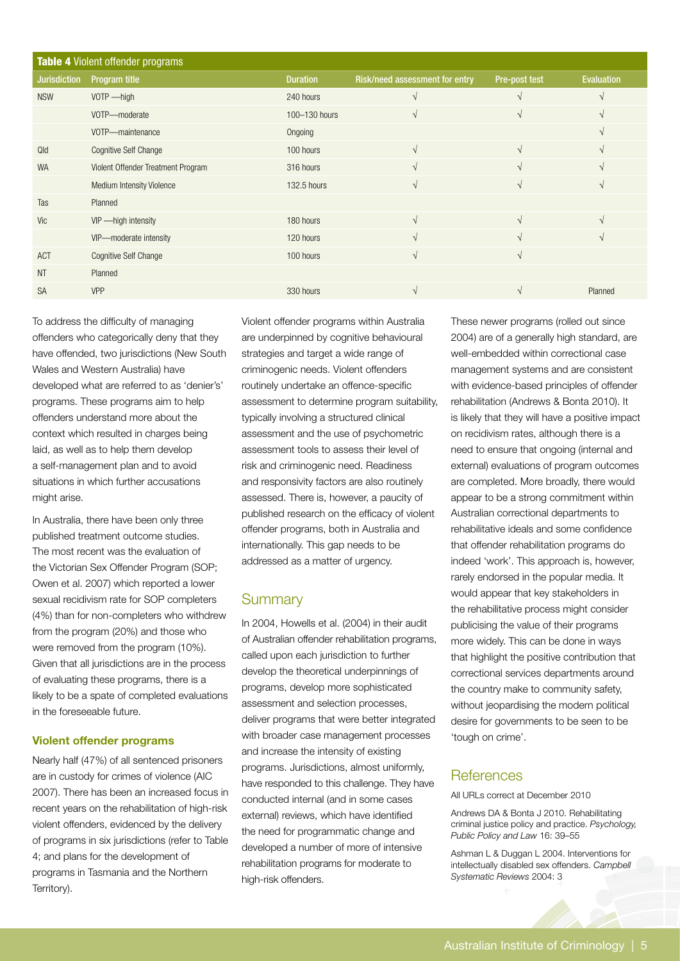| <b>Table 4 Violent offender programs</b> |                                    |                 |                                |               |                   |  |  |
|------------------------------------------|------------------------------------|-----------------|--------------------------------|---------------|-------------------|--|--|
| <b>Jurisdiction</b>                      | Program title                      | <b>Duration</b> | Risk/need assessment for entry | Pre-post test | <b>Evaluation</b> |  |  |
| <b>NSW</b>                               | $VOTP$ -high                       | 240 hours       |                                |               |                   |  |  |
|                                          | VOTP-moderate                      | 100-130 hours   | $\sqrt{ }$                     | V             | $\mathcal{L}$     |  |  |
|                                          | VOTP-maintenance                   | Ongoing         |                                |               |                   |  |  |
| Qld                                      | <b>Cognitive Self Change</b>       | 100 hours       | $\sqrt{ }$                     | $\mathcal{L}$ |                   |  |  |
| <b>WA</b>                                | Violent Offender Treatment Program | 316 hours       | $\sqrt{ }$                     | N             |                   |  |  |
|                                          | <b>Medium Intensity Violence</b>   | 132.5 hours     | V                              | V             |                   |  |  |
| Tas                                      | Planned                            |                 |                                |               |                   |  |  |
| Vic                                      | VIP - high intensity               | 180 hours       | $\sqrt{ }$                     | V             | N                 |  |  |
|                                          | VIP-moderate intensity             | 120 hours       | V                              |               |                   |  |  |
| ACT                                      | <b>Cognitive Self Change</b>       | 100 hours       | $\sqrt{ }$                     | $\sqrt{ }$    |                   |  |  |
| <b>NT</b>                                | Planned                            |                 |                                |               |                   |  |  |
| <b>SA</b>                                | <b>VPP</b>                         | 330 hours       | V                              |               | Planned           |  |  |

To address the difficulty of managing offenders who categorically deny that they have offended, two jurisdictions (New South Wales and Western Australia) have developed what are referred to as 'denier's' programs. These programs aim to help offenders understand more about the context which resulted in charges being laid, as well as to help them develop a self-management plan and to avoid situations in which further accusations might arise.

In Australia, there have been only three published treatment outcome studies. The most recent was the evaluation of the Victorian Sex Offender Program (SOP; Owen et al. 2007) which reported a lower sexual recidivism rate for SOP completers (4%) than for non-completers who withdrew from the program (20%) and those who were removed from the program (10%). Given that all jurisdictions are in the process of evaluating these programs, there is a likely to be a spate of completed evaluations in the foreseeable future.

#### **Violent offender programs**

Nearly half (47%) of all sentenced prisoners are in custody for crimes of violence (AIC 2007). There has been an increased focus in recent years on the rehabilitation of high-risk violent offenders, evidenced by the delivery of programs in six jurisdictions (refer to Table 4; and plans for the development of programs in Tasmania and the Northern Territory).

Violent offender programs within Australia are underpinned by cognitive behavioural strategies and target a wide range of criminogenic needs. Violent offenders routinely undertake an offence-specific assessment to determine program suitability, typically involving a structured clinical assessment and the use of psychometric assessment tools to assess their level of risk and criminogenic need. Readiness and responsivity factors are also routinely assessed. There is, however, a paucity of published research on the efficacy of violent offender programs, both in Australia and internationally. This gap needs to be addressed as a matter of urgency.

# **Summary**

In 2004, Howells et al. (2004) in their audit of Australian offender rehabilitation programs, called upon each jurisdiction to further develop the theoretical underpinnings of programs, develop more sophisticated assessment and selection processes, deliver programs that were better integrated with broader case management processes and increase the intensity of existing programs. Jurisdictions, almost uniformly, have responded to this challenge. They have conducted internal (and in some cases external) reviews, which have identified the need for programmatic change and developed a number of more of intensive rehabilitation programs for moderate to high-risk offenders.

These newer programs (rolled out since 2004) are of a generally high standard, are well-embedded within correctional case management systems and are consistent with evidence-based principles of offender rehabilitation (Andrews & Bonta 2010). It is likely that they will have a positive impact on recidivism rates, although there is a need to ensure that ongoing (internal and external) evaluations of program outcomes are completed. More broadly, there would appear to be a strong commitment within Australian correctional departments to rehabilitative ideals and some confidence that offender rehabilitation programs do indeed 'work'. This approach is, however, rarely endorsed in the popular media. It would appear that key stakeholders in the rehabilitative process might consider publicising the value of their programs more widely. This can be done in ways that highlight the positive contribution that correctional services departments around the country make to community safety, without jeopardising the modern political desire for governments to be seen to be 'tough on crime'.

# **References**

All URLs correct at December 2010

Andrews DA & Bonta J 2010. Rehabilitating criminal justice policy and practice. *Psychology, Public Policy and Law* 16: 39–55

Ashman L & Duggan L 2004. Interventions for intellectually disabled sex offenders. *Campbell Systematic Reviews* 2004: 3